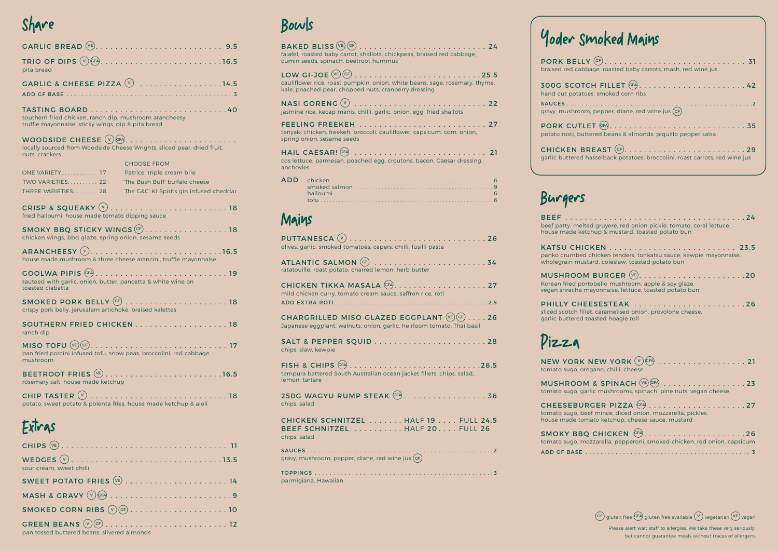## Share

| pita bread                                                                                                    |                                                                         |
|---------------------------------------------------------------------------------------------------------------|-------------------------------------------------------------------------|
|                                                                                                               | GARLIC & CHEESE PIZZA $\overline{v}$ 14.5                               |
|                                                                                                               |                                                                         |
| southern fried chicken, ranch dip, mushroom arancheesy,<br>truffle mayonnaise, sticky wings, dip & pita bread |                                                                         |
|                                                                                                               |                                                                         |
| nuts, crackers                                                                                                | locally sourced from Woodside Cheese Wrights, sliced pear, dried fruit, |
|                                                                                                               | <b>CHOOSE FROM</b>                                                      |
| ONE VARIETY 17                                                                                                | 'Patrice' triple cream brie                                             |
| TWO VARIETIES 22                                                                                              | 'The Bush Buff' buffalo cheese                                          |
| THREE VARIETIES 28                                                                                            | 'The G&C' KI Spirits gin infused cheddar                                |

| fried halloumi, house made tomato dipping sauce |  |
|-------------------------------------------------|--|

| SMOKY BBQ STICKY WINGS GF. 18<br>chicken wings, bbq glaze, spring onion, sesame seeds |  |
|---------------------------------------------------------------------------------------|--|
| house made mushroom & three cheese arancini, truffle mayonnaise                       |  |
| COOLINA DIDIC CEA                                                                     |  |

GOOLWA PIPIS GFA. . . 19 sauteed with garlic, onion, butter, pancetta & white wine on toasted ciabatta

| crispy pork belly, jerusalem artichoke, braised kalettes |  |
|----------------------------------------------------------|--|

| <b>SOUTHERN FRIED CHICKEN18</b> |  |  |  |  |  |  |  |  |  |  |
|---------------------------------|--|--|--|--|--|--|--|--|--|--|
| ranch dip                       |  |  |  |  |  |  |  |  |  |  |

| pan fried porcini infused tofu, snow peas, broccolini, red cabbage,<br>mushroom |  |
|---------------------------------------------------------------------------------|--|

|                                   | BEETROOT FRIES $(\overline{v_{E}})$ 16.5 |
|-----------------------------------|------------------------------------------|
| rosemary salt, house made ketchup |                                          |

| potato, sweet potato & polenta fries, house made ketchup & aioli |  |
|------------------------------------------------------------------|--|

#### Bowls

# Yoder Smoked Mains

| age, roasted baby carrots, mash, red wine jus                      |
|--------------------------------------------------------------------|
| $CH$ FILLET $^{\textsf{(GF)}}$ 42<br>es, smoked corn ribs          |
| ר, pepper, diane, red wine jus $\left(\mathsf{G}\mathsf{F}\right)$ |
| tered beans & almonds, piquillo pepper salsa                       |
| asselback potatoes, broccolini, roast carrots, red wine jus        |

**SMOKY BBQ** tomato sugo, mo ADD GF BASE . . . . . . . . . . . . . . . . . . . . . . . . . . . . . . . . . . . . . . . . . . . . 3

| falafel, roasted baby carrot, shallots, chickpeas, braised red cabbage,<br>cumin seeds, spinach, beetroot hummus                      |  |
|---------------------------------------------------------------------------------------------------------------------------------------|--|
| cauliflower rice, roast pumpkin, onion, white beans, sage, rosemary, thyme,<br>kale, poached pear, chopped nuts, cranberry dressing   |  |
| <b>NASI GORENG (v)</b><br>jasmine rice, kecap manis, chilli, garlic, onion, egg, fried shallots                                       |  |
| teriyaki chicken, freekeh, broccoli, cauliflower, capsicum, corn, onion,<br>spring onion, sesame seeds                                |  |
| HAIL CAESAR! (CFA)<br>cos lettuce, parmesan, poached egg, croutons, bacon, Caesar dressing,<br>anchovies                              |  |
| <b>ADD</b>                                                                                                                            |  |
| Mains                                                                                                                                 |  |
| olives, garlic, smoked tomatoes, capers, chilli, fusilli pasta                                                                        |  |
| ATLANTIC SALMON (GF)<br>ratatouille, roast potato, charred lemon, herb butter                                                         |  |
| mild chicken curry, tomato cream sauce, saffron rice, roti                                                                            |  |
| <b>CHARGRILLED MISO GLAZED EGGPLANT</b> $(\vee_{E})(GF)$ 26<br>Japanese eggplant, walnuts, onion, garlic, heirloom tomato, Thai basil |  |
| chips, slaw, kewpie                                                                                                                   |  |
| FISH & CHIPS $(FA)$ 28.5<br>tempura battered South Australian ocean jacket fillets, chips, salad,<br>lemon, tartare                   |  |
| 250G WAGYU RUMP STEAK GFA.  36<br>chips, salad                                                                                        |  |
| CHICKEN SCHNITZEL HALF 19 FULL 24.5<br>BEEF SCHNITZEL. HALF 20. FULL 26<br>chips, salad                                               |  |
|                                                                                                                                       |  |
|                                                                                                                                       |  |

PORK BELLY braised red cabb

300G SCOTC hand cut potato  $SAUCES$ . . . . .

gravy, mushroom

PORK CUTL potato rosti, but

**CHICKEN BI** garlic buttered l

> Please alert wait staff to allergies. We take these very seriously, but cannot guarantee meals without traces of allergens

parmigiana, Hawaiian

## Burgers

beef patty, melte house made ketchup

| beef patty, melted gruyere, red onion pickle, tomato, coral lettuce,<br>house made ketchup & mustard, toasted potato bun                          |
|---------------------------------------------------------------------------------------------------------------------------------------------------|
| panko crumbed chicken tenders, tonkatsu sauce, kewpie mayonnaise,<br>wholegrain mustard, coleslaw, toasted potato bun                             |
| MUSHROOM BURGER $(\vee_{E})$ 20<br>Korean fried portobello mushroom, apple & soy glaze,<br>vegan sriracha mayonnaise, lettuce, toasted potato bun |
| PHILLY CHEESESTEAK 26<br>sliced scotch fillet, caramelised onion, provolone cheese,<br>garlic buttered toasted hoagie roll                        |
| Pizza                                                                                                                                             |
| tomato sugo, oregano, chilli, cheese                                                                                                              |

| $8$ SPINACH $(E)$ GFA $\ldots \ldots \ldots \ldots \ldots 23$<br>lic mushrooms, spinach, pine nuts, vegan cheese                                                                                       |
|--------------------------------------------------------------------------------------------------------------------------------------------------------------------------------------------------------|
| $\overline{\text{GER PIZZA}}$ (GFA) $\ldots$ $\ldots$ $\ldots$ $\ldots$ $\ldots$ $\ldots$ $\overline{\text{C27}}$<br>ef mince, diced onion, mozzarella, pickles,<br>ato ketchup, cheese sauce, mustard |
| $R$ CHICKEN $(FA)$ 26<br>zzarella, pepperoni, smoked chicken, red onion, capsicum                                                                                                                      |

 $\widehat{GF}$  gluten free  $\widehat{GFA}$  gluten free available  $\widehat{(V)}$  vegetarian  $\widehat{(VE)}$  vegan

# Pizza

**NEW YORK** tomato sugo, ore

**MUSHROOM** tomato sugo, gar

**CHEESEBUR** tomato sugo, bee house made tom

### Extras

| sour cream, sweet chilli                    |
|---------------------------------------------|
|                                             |
|                                             |
|                                             |
| pan tossed buttered beans, slivered almonds |